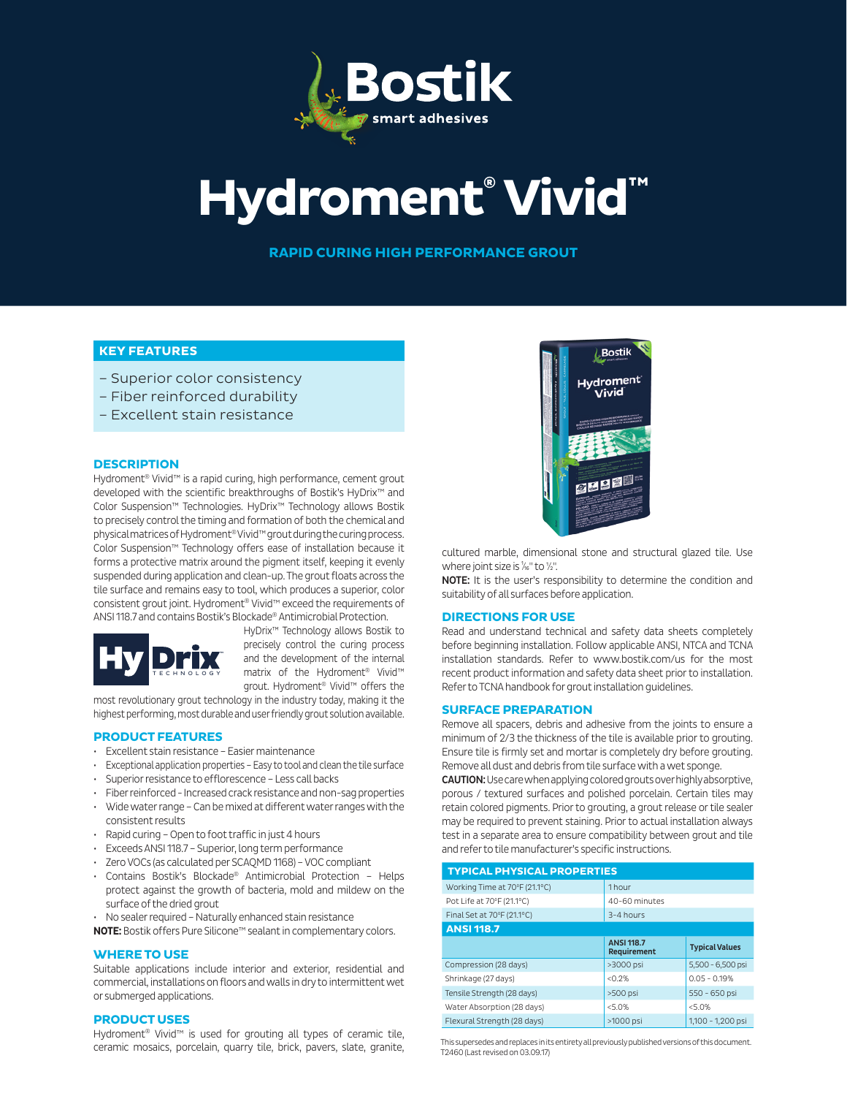

# **Hydroment® Vivid™**

**RAPID CURING HIGH PERFORMANCE GROUT**

# **KEY FEATURES**

- Superior color consistency
- Fiber reinforced durability
- Excellent stain resistance

# **DESCRIPTION**

Hydroment® Vivid™ is a rapid curing, high performance, cement grout developed with the scientific breakthroughs of Bostik's HyDrix™ and Color Suspension™ Technologies. HyDrix™ Technology allows Bostik to precisely control the timing and formation of both the chemical and physical matrices of Hydroment® Vivid™ grout during the curing process. Color Suspension™ Technology offers ease of installation because it forms a protective matrix around the pigment itself, keeping it evenly suspended during application and clean-up. The grout floats across the tile surface and remains easy to tool, which produces a superior, color consistent grout joint. Hydroment® Vivid™ exceed the requirements of ANSI 118.7 and contains Bostik's Blockade® Antimicrobial Protection.



HyDrix™ Technology allows Bostik to precisely control the curing process and the development of the internal matrix of the Hydroment® Vivid™ grout. Hydroment® Vivid™ offers the

most revolutionary grout technology in the industry today, making it the highest performing, most durable and user friendly grout solution available.

# **PRODUCT FEATURES**

- Excellent stain resistance Easier maintenance
- Exceptional application properties Easy to tool and clean the tile surface
- Superior resistance to efflorescence Less call backs
- Fiber reinforced Increased crack resistance and non-sag properties
- Wide water range Can be mixed at different water ranges with the consistent results
- Rapid curing Open to foot traffic in just 4 hours
- Exceeds ANSI 118.7 Superior, long term performance
- Zero VOCs (as calculated per SCAQMD 1168) VOC compliant
- Contains Bostik's Blockade® Antimicrobial Protection Helps protect against the growth of bacteria, mold and mildew on the surface of the dried grout
- No sealer required Naturally enhanced stain resistance

**NOTE:** Bostik offers Pure Silicone™ sealant in complementary colors.

# **WHERE TO USE**

Suitable applications include interior and exterior, residential and commercial, installations on floors and walls in dry to intermittent wet or submerged applications.

# **PRODUCT USES**

Hydroment® Vivid™ is used for grouting all types of ceramic tile, ceramic mosaics, porcelain, quarry tile, brick, pavers, slate, granite,



cultured marble, dimensional stone and structural glazed tile. Use where joint size is  $\frac{1}{16}$ " to  $\frac{1}{2}$ ".

NOTE: It is the user's responsibility to determine the condition and suitability of all surfaces before application.

#### **DIRECTIONS FOR USE**

Read and understand technical and safety data sheets completely before beginning installation. Follow applicable ANSI, NTCA and TCNA installation standards. Refer to www.bostik.com/us for the most recent product information and safety data sheet prior to installation. Refer to TCNA handbook for grout installation guidelines.

# **SURFACE PREPARATION**

Remove all spacers, debris and adhesive from the joints to ensure a minimum of 2/3 the thickness of the tile is available prior to grouting. Ensure tile is firmly set and mortar is completely dry before grouting. Remove all dust and debris from tile surface with a wet sponge.

CAUTION: Use care when applying colored grouts over highly absorptive, porous / textured surfaces and polished porcelain. Certain tiles may retain colored pigments. Prior to grouting, a grout release or tile sealer may be required to prevent staining. Prior to actual installation always test in a separate area to ensure compatibility between grout and tile and refer to tile manufacturer's specific instructions.

| <b>TYPICAL PHYSICAL PROPERTIES</b> |                                  |                       |  |  |  |  |
|------------------------------------|----------------------------------|-----------------------|--|--|--|--|
| Working Time at 70°F (21.1°C)      | 1hour                            |                       |  |  |  |  |
| Pot Life at 70°F (21.1°C)          | 40-60 minutes                    |                       |  |  |  |  |
| Final Set at 70°F (21.1°C)         | $3-4$ hours                      |                       |  |  |  |  |
| <b>ANSI 118.7</b>                  |                                  |                       |  |  |  |  |
|                                    | <b>ANSI 118.7</b><br>Requirement | <b>Typical Values</b> |  |  |  |  |
| Compression (28 days)              | >3000 psi                        | 5,500 - 6,500 psi     |  |  |  |  |
| Shrinkage (27 days)                | < 0.2%                           | $0.05 - 0.19%$        |  |  |  |  |
| Tensile Strength (28 days)         | >500 psi                         | 550 - 650 psi         |  |  |  |  |
| Water Absorption (28 days)         | < 5.0%                           | < 5.0%                |  |  |  |  |
| Flexural Strength (28 days)        | >1000 psi                        | 1,100 - 1,200 psi     |  |  |  |  |

This supersedes and replaces in its entirety all previously published versions of this document. T2460 (Last revised on 03.09.17)